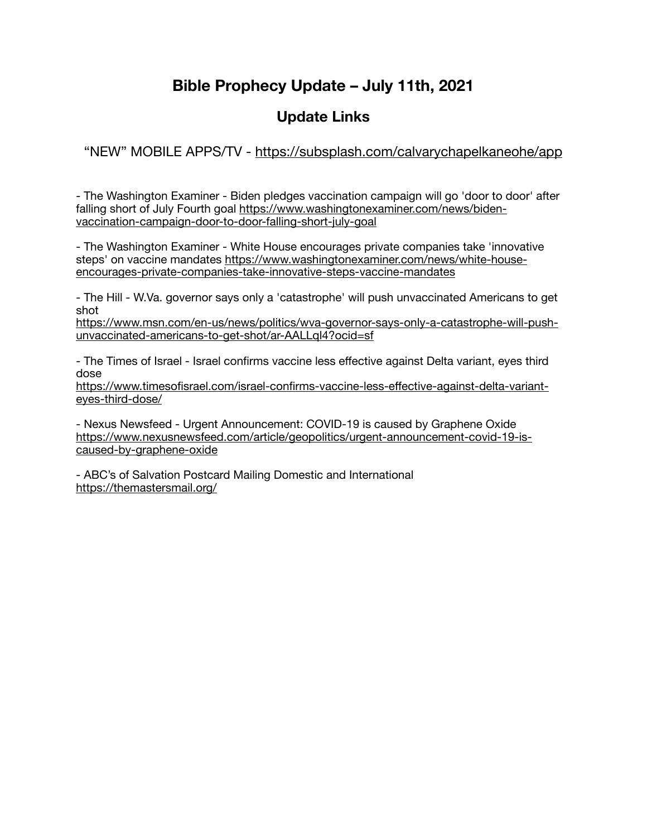# **Bible Prophecy Update – July 11th, 2021**

## **Update Links**

"NEW" MOBILE APPS/TV - <https://subsplash.com/calvarychapelkaneohe/app>

- The Washington Examiner - Biden pledges vaccination campaign will go 'door to door' after falling short of July Fourth goal [https://www.washingtonexaminer.com/news/biden](https://www.washingtonexaminer.com/news/biden-vaccination-campaign-door-to-door-falling-short-july-goal)[vaccination-campaign-door-to-door-falling-short-july-goal](https://www.washingtonexaminer.com/news/biden-vaccination-campaign-door-to-door-falling-short-july-goal)

- The Washington Examiner - White House encourages private companies take 'innovative steps' on vaccine mandates [https://www.washingtonexaminer.com/news/white-house](https://www.washingtonexaminer.com/news/white-house-encourages-private-companies-take-innovative-steps-vaccine-mandates)[encourages-private-companies-take-innovative-steps-vaccine-mandates](https://www.washingtonexaminer.com/news/white-house-encourages-private-companies-take-innovative-steps-vaccine-mandates)

- The Hill - W.Va. governor says only a 'catastrophe' will push unvaccinated Americans to get shot

[https://www.msn.com/en-us/news/politics/wva-governor-says-only-a-catastrophe-will-push](https://www.msn.com/en-us/news/politics/wva-governor-says-only-a-catastrophe-will-push-unvaccinated-americans-to-get-shot/ar-AALLql4?ocid=sf)[unvaccinated-americans-to-get-shot/ar-AALLql4?ocid=sf](https://www.msn.com/en-us/news/politics/wva-governor-says-only-a-catastrophe-will-push-unvaccinated-americans-to-get-shot/ar-AALLql4?ocid=sf)

- The Times of Israel - Israel confirms vaccine less effective against Delta variant, eyes third dose

[https://www.timesofisrael.com/israel-confirms-vaccine-less-e](https://www.timesofisrael.com/israel-confirms-vaccine-less-effective-against-delta-variant-eyes-third-dose/)ffective-against-delta-variant[eyes-third-dose/](https://www.timesofisrael.com/israel-confirms-vaccine-less-effective-against-delta-variant-eyes-third-dose/)

- Nexus Newsfeed - Urgent Announcement: COVID-19 is caused by Graphene Oxide [https://www.nexusnewsfeed.com/article/geopolitics/urgent-announcement-covid-19-is](https://www.nexusnewsfeed.com/article/geopolitics/urgent-announcement-covid-19-is-caused-by-graphene-oxide)[caused-by-graphene-oxide](https://www.nexusnewsfeed.com/article/geopolitics/urgent-announcement-covid-19-is-caused-by-graphene-oxide)

- ABC's of Salvation Postcard Mailing Domestic and International <https://themastersmail.org/>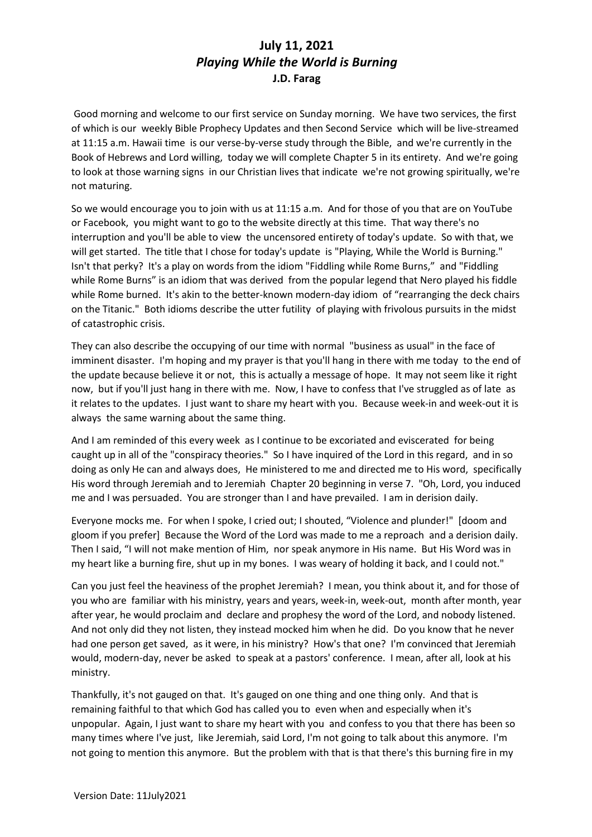Good morning and welcome to our first service on Sunday morning. We have two services, the first of which is our weekly Bible Prophecy Updates and then Second Service which will be live-streamed at 11:15 a.m. Hawaii time is our verse-by-verse study through the Bible, and we're currently in the Book of Hebrews and Lord willing, today we will complete Chapter 5 in its entirety. And we're going to look at those warning signs in our Christian lives that indicate we're not growing spiritually, we're not maturing.

So we would encourage you to join with us at 11:15 a.m. And for those of you that are on YouTube or Facebook, you might want to go to the website directly at this time. That way there's no interruption and you'll be able to view the uncensored entirety of today's update. So with that, we will get started. The title that I chose for today's update is "Playing, While the World is Burning." Isn't that perky? It's a play on words from the idiom "Fiddling while Rome Burns," and "Fiddling while Rome Burns" is an idiom that was derived from the popular legend that Nero played his fiddle while Rome burned. It's akin to the better-known modern-day idiom of "rearranging the deck chairs on the Titanic." Both idioms describe the utter futility of playing with frivolous pursuits in the midst of catastrophic crisis.

They can also describe the occupying of our time with normal "business as usual" in the face of imminent disaster. I'm hoping and my prayer is that you'll hang in there with me today to the end of the update because believe it or not, this is actually a message of hope. It may not seem like it right now, but if you'll just hang in there with me. Now, I have to confess that I've struggled as of late as it relates to the updates. I just want to share my heart with you. Because week-in and week-out it is always the same warning about the same thing.

And I am reminded of this every week as I continue to be excoriated and eviscerated for being caught up in all of the "conspiracy theories." So I have inquired of the Lord in this regard, and in so doing as only He can and always does, He ministered to me and directed me to His word, specifically His word through Jeremiah and to Jeremiah Chapter 20 beginning in verse 7. "Oh, Lord, you induced me and I was persuaded. You are stronger than I and have prevailed. I am in derision daily.

Everyone mocks me. For when I spoke, I cried out; I shouted, "Violence and plunder!" [doom and gloom if you prefer] Because the Word of the Lord was made to me a reproach and a derision daily. Then I said, "I will not make mention of Him, nor speak anymore in His name. But His Word was in my heart like a burning fire, shut up in my bones. I was weary of holding it back, and I could not."

Can you just feel the heaviness of the prophet Jeremiah? I mean, you think about it, and for those of you who are familiar with his ministry, years and years, week-in, week-out, month after month, year after year, he would proclaim and declare and prophesy the word of the Lord, and nobody listened. And not only did they not listen, they instead mocked him when he did. Do you know that he never had one person get saved, as it were, in his ministry? How's that one? I'm convinced that Jeremiah would, modern-day, never be asked to speak at a pastors' conference. I mean, after all, look at his ministry.

Thankfully, it's not gauged on that. It's gauged on one thing and one thing only. And that is remaining faithful to that which God has called you to even when and especially when it's unpopular. Again, I just want to share my heart with you and confess to you that there has been so many times where I've just, like Jeremiah, said Lord, I'm not going to talk about this anymore. I'm not going to mention this anymore. But the problem with that is that there's this burning fire in my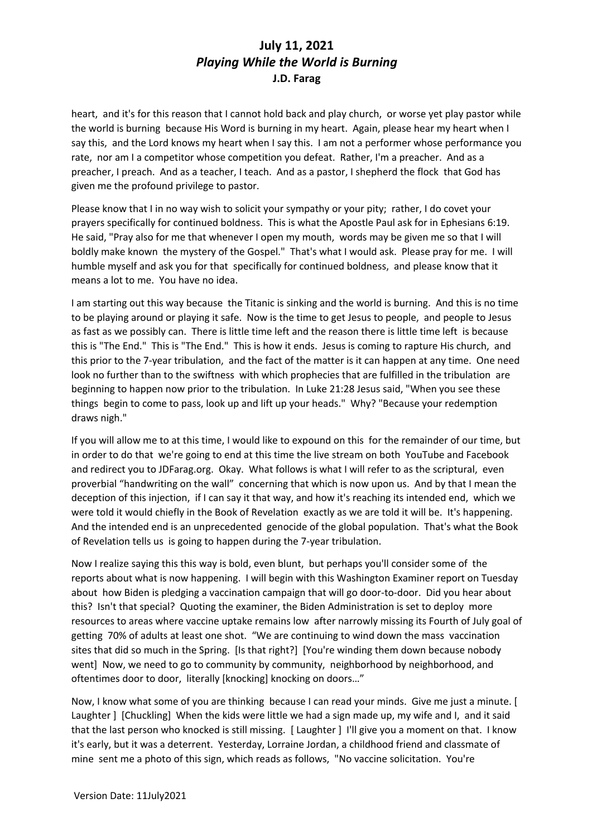heart, and it's for this reason that I cannot hold back and play church, or worse yet play pastor while the world is burning because His Word is burning in my heart. Again, please hear my heart when I say this, and the Lord knows my heart when I say this. I am not a performer whose performance you rate, nor am I a competitor whose competition you defeat. Rather, I'm a preacher. And as a preacher, I preach. And as a teacher, I teach. And as a pastor, I shepherd the flock that God has given me the profound privilege to pastor.

Please know that I in no way wish to solicit your sympathy or your pity; rather, I do covet your prayers specifically for continued boldness. This is what the Apostle Paul ask for in Ephesians 6:19. He said, "Pray also for me that whenever I open my mouth, words may be given me so that I will boldly make known the mystery of the Gospel." That's what I would ask. Please pray for me. I will humble myself and ask you for that specifically for continued boldness, and please know that it means a lot to me. You have no idea.

I am starting out this way because the Titanic is sinking and the world is burning. And this is no time to be playing around or playing it safe. Now is the time to get Jesus to people, and people to Jesus as fast as we possibly can. There is little time left and the reason there is little time left is because this is "The End." This is "The End." This is how it ends. Jesus is coming to rapture His church, and this prior to the 7-year tribulation, and the fact of the matter is it can happen at any time. One need look no further than to the swiftness with which prophecies that are fulfilled in the tribulation are beginning to happen now prior to the tribulation. In Luke 21:28 Jesus said, "When you see these things begin to come to pass, look up and lift up your heads." Why? "Because your redemption draws nigh."

If you will allow me to at this time, I would like to expound on this for the remainder of our time, but in order to do that we're going to end at this time the live stream on both YouTube and Facebook and redirect you to JDFarag.org. Okay. What follows is what I will refer to as the scriptural, even proverbial "handwriting on the wall" concerning that which is now upon us. And by that I mean the deception of this injection, if I can say it that way, and how it's reaching its intended end, which we were told it would chiefly in the Book of Revelation exactly as we are told it will be. It's happening. And the intended end is an unprecedented genocide of the global population. That's what the Book of Revelation tells us is going to happen during the 7-year tribulation.

Now I realize saying this this way is bold, even blunt, but perhaps you'll consider some of the reports about what is now happening. I will begin with this Washington Examiner report on Tuesday about how Biden is pledging a vaccination campaign that will go door-to-door. Did you hear about this? Isn't that special? Quoting the examiner, the Biden Administration is set to deploy more resources to areas where vaccine uptake remains low after narrowly missing its Fourth of July goal of getting 70% of adults at least one shot. "We are continuing to wind down the mass vaccination sites that did so much in the Spring. [Is that right?] [You're winding them down because nobody went] Now, we need to go to community by community, neighborhood by neighborhood, and oftentimes door to door, literally [knocking] knocking on doors…"

Now, I know what some of you are thinking because I can read your minds. Give me just a minute. [ Laughter ] [Chuckling] When the kids were little we had a sign made up, my wife and I, and it said that the last person who knocked is still missing. [ Laughter ] I'll give you a moment on that. I know it's early, but it was a deterrent. Yesterday, Lorraine Jordan, a childhood friend and classmate of mine sent me a photo of this sign, which reads as follows, "No vaccine solicitation. You're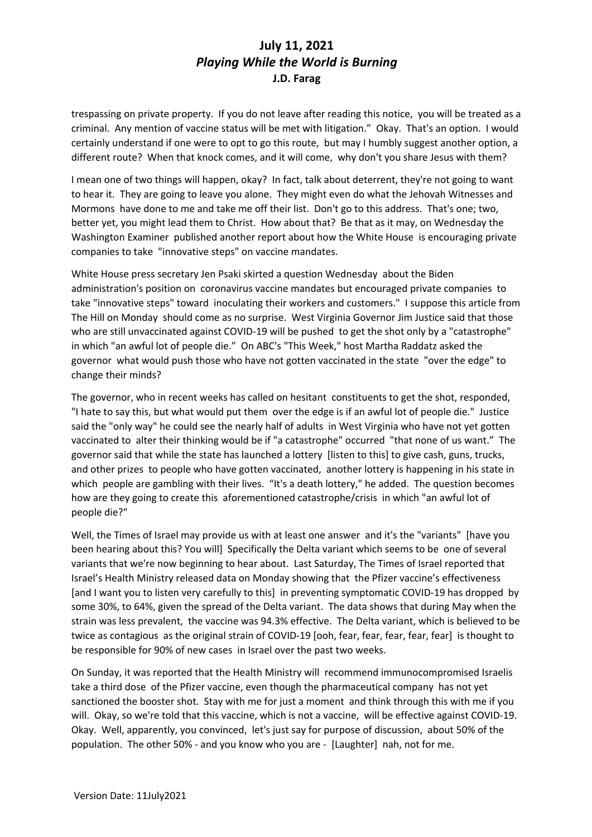trespassing on private property. If you do not leave after reading this notice, you will be treated as a criminal. Any mention of vaccine status will be met with litigation." Okay. That's an option. I would certainly understand if one were to opt to go this route, but may I humbly suggest another option, a different route? When that knock comes, and it will come, why don't you share Jesus with them?

I mean one of two things will happen, okay? In fact, talk about deterrent, they're not going to want to hear it. They are going to leave you alone. They might even do what the Jehovah Witnesses and Mormons have done to me and take me off their list. Don't go to this address. That's one; two, better yet, you might lead them to Christ. How about that? Be that as it may, on Wednesday the Washington Examiner published another report about how the White House is encouraging private companies to take "innovative steps" on vaccine mandates.

White House press secretary Jen Psaki skirted a question Wednesday about the Biden administration's position on coronavirus vaccine mandates but encouraged private companies to take "innovative steps" toward inoculating their workers and customers." I suppose this article from The Hill on Monday should come as no surprise. West Virginia Governor Jim Justice said that those who are still unvaccinated against COVID-19 will be pushed to get the shot only by a "catastrophe" in which "an awful lot of people die." On ABC's "This Week," host Martha Raddatz asked the governor what would push those who have not gotten vaccinated in the state "over the edge" to change their minds?

The governor, who in recent weeks has called on hesitant constituents to get the shot, responded, "I hate to say this, but what would put them over the edge is if an awful lot of people die." Justice said the "only way" he could see the nearly half of adults in West Virginia who have not yet gotten vaccinated to alter their thinking would be if "a catastrophe" occurred "that none of us want." The governor said that while the state has launched a lottery [listen to this] to give cash, guns, trucks, and other prizes to people who have gotten vaccinated, another lottery is happening in his state in which people are gambling with their lives. "It's a death lottery," he added. The question becomes how are they going to create this aforementioned catastrophe/crisis in which "an awful lot of people die?"

Well, the Times of Israel may provide us with at least one answer and it's the "variants" [have you been hearing about this? You will] Specifically the Delta variant which seems to be one of several variants that we're now beginning to hear about. Last Saturday, The Times of Israel reported that Israel's Health Ministry released data on Monday showing that the Pfizer vaccine's effectiveness [and I want you to listen very carefully to this] in preventing symptomatic COVID-19 has dropped by some 30%, to 64%, given the spread of the Delta variant. The data shows that during May when the strain was less prevalent, the vaccine was 94.3% effective. The Delta variant, which is believed to be twice as contagious as the original strain of COVID-19 [ooh, fear, fear, fear, fear, fear] is thought to be responsible for 90% of new cases in Israel over the past two weeks.

On Sunday, it was reported that the Health Ministry will recommend immunocompromised Israelis take a third dose of the Pfizer vaccine, even though the pharmaceutical company has not yet sanctioned the booster shot. Stay with me for just a moment and think through this with me if you will. Okay, so we're told that this vaccine, which is not a vaccine, will be effective against COVID-19. Okay. Well, apparently, you convinced, let's just say for purpose of discussion, about 50% of the population. The other 50% - and you know who you are - [Laughter] nah, not for me.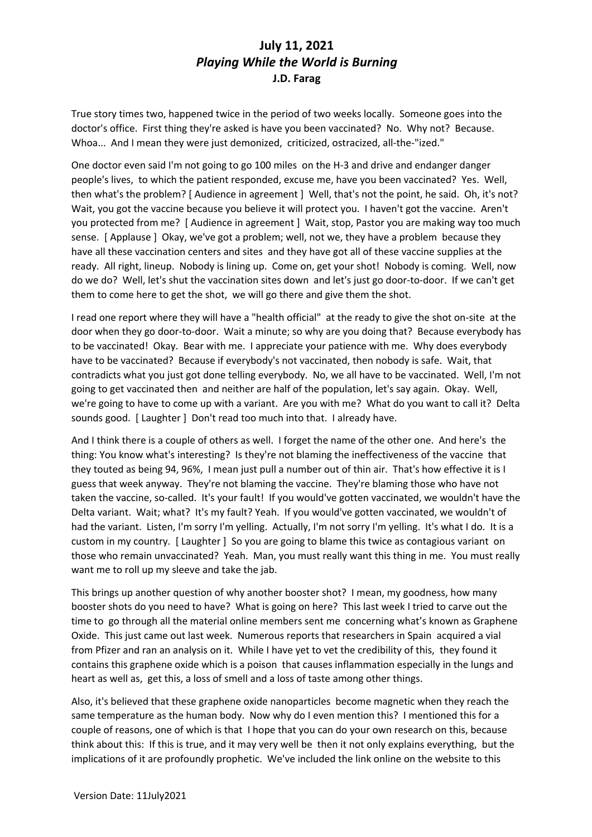True story times two, happened twice in the period of two weeks locally. Someone goes into the doctor's office. First thing they're asked is have you been vaccinated? No. Why not? Because. Whoa... And I mean they were just demonized, criticized, ostracized, all-the-"ized."

One doctor even said I'm not going to go 100 miles on the H-3 and drive and endanger danger people's lives, to which the patient responded, excuse me, have you been vaccinated? Yes. Well, then what's the problem? [ Audience in agreement ] Well, that's not the point, he said. Oh, it's not? Wait, you got the vaccine because you believe it will protect you. I haven't got the vaccine. Aren't you protected from me? [ Audience in agreement ] Wait, stop, Pastor you are making way too much sense. [ Applause ] Okay, we've got a problem; well, not we, they have a problem because they have all these vaccination centers and sites and they have got all of these vaccine supplies at the ready. All right, lineup. Nobody is lining up. Come on, get your shot! Nobody is coming. Well, now do we do? Well, let's shut the vaccination sites down and let's just go door-to-door. If we can't get them to come here to get the shot, we will go there and give them the shot.

I read one report where they will have a "health official" at the ready to give the shot on-site at the door when they go door-to-door. Wait a minute; so why are you doing that? Because everybody has to be vaccinated! Okay. Bear with me. I appreciate your patience with me. Why does everybody have to be vaccinated? Because if everybody's not vaccinated, then nobody is safe. Wait, that contradicts what you just got done telling everybody. No, we all have to be vaccinated. Well, I'm not going to get vaccinated then and neither are half of the population, let's say again. Okay. Well, we're going to have to come up with a variant. Are you with me? What do you want to call it? Delta sounds good. [ Laughter ] Don't read too much into that. I already have.

And I think there is a couple of others as well. I forget the name of the other one. And here's the thing: You know what's interesting? Is they're not blaming the ineffectiveness of the vaccine that they touted as being 94, 96%, I mean just pull a number out of thin air. That's how effective it is I guess that week anyway. They're not blaming the vaccine. They're blaming those who have not taken the vaccine, so-called. It's your fault! If you would've gotten vaccinated, we wouldn't have the Delta variant. Wait; what? It's my fault? Yeah. If you would've gotten vaccinated, we wouldn't of had the variant. Listen, I'm sorry I'm yelling. Actually, I'm not sorry I'm yelling. It's what I do. It is a custom in my country. [ Laughter ] So you are going to blame this twice as contagious variant on those who remain unvaccinated? Yeah. Man, you must really want this thing in me. You must really want me to roll up my sleeve and take the jab.

This brings up another question of why another booster shot? I mean, my goodness, how many booster shots do you need to have? What is going on here? This last week I tried to carve out the time to go through all the material online members sent me concerning what's known as Graphene Oxide. This just came out last week. Numerous reports that researchers in Spain acquired a vial from Pfizer and ran an analysis on it. While I have yet to vet the credibility of this, they found it contains this graphene oxide which is a poison that causes inflammation especially in the lungs and heart as well as, get this, a loss of smell and a loss of taste among other things.

Also, it's believed that these graphene oxide nanoparticles become magnetic when they reach the same temperature as the human body. Now why do I even mention this? I mentioned this for a couple of reasons, one of which is that I hope that you can do your own research on this, because think about this: If this is true, and it may very well be then it not only explains everything, but the implications of it are profoundly prophetic. We've included the link online on the website to this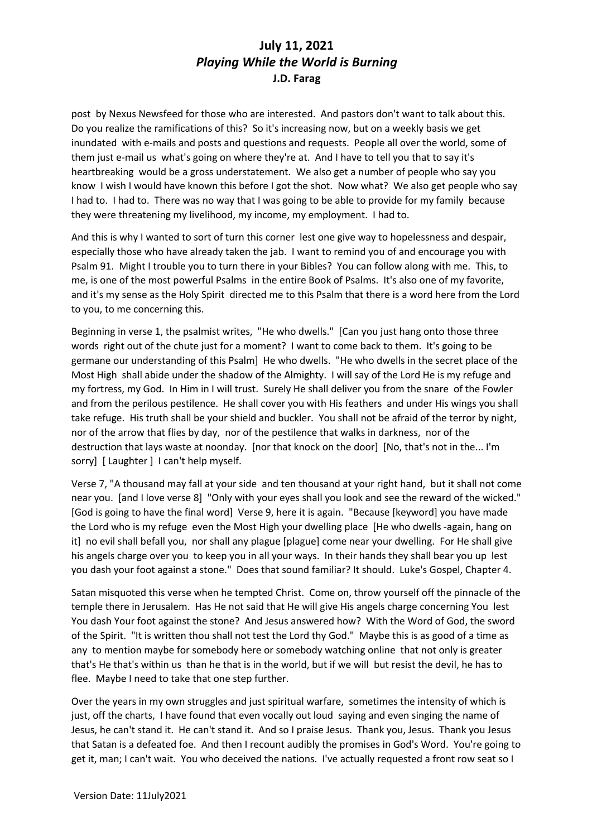post by Nexus Newsfeed for those who are interested. And pastors don't want to talk about this. Do you realize the ramifications of this? So it's increasing now, but on a weekly basis we get inundated with e-mails and posts and questions and requests. People all over the world, some of them just e-mail us what's going on where they're at. And I have to tell you that to say it's heartbreaking would be a gross understatement. We also get a number of people who say you know I wish I would have known this before I got the shot. Now what? We also get people who say I had to. I had to. There was no way that I was going to be able to provide for my family because they were threatening my livelihood, my income, my employment. I had to.

And this is why I wanted to sort of turn this corner lest one give way to hopelessness and despair, especially those who have already taken the jab. I want to remind you of and encourage you with Psalm 91. Might I trouble you to turn there in your Bibles? You can follow along with me. This, to me, is one of the most powerful Psalms in the entire Book of Psalms. It's also one of my favorite, and it's my sense as the Holy Spirit directed me to this Psalm that there is a word here from the Lord to you, to me concerning this.

Beginning in verse 1, the psalmist writes, "He who dwells." [Can you just hang onto those three words right out of the chute just for a moment? I want to come back to them. It's going to be germane our understanding of this Psalm] He who dwells. "He who dwells in the secret place of the Most High shall abide under the shadow of the Almighty. I will say of the Lord He is my refuge and my fortress, my God. In Him in I will trust. Surely He shall deliver you from the snare of the Fowler and from the perilous pestilence. He shall cover you with His feathers and under His wings you shall take refuge. His truth shall be your shield and buckler. You shall not be afraid of the terror by night, nor of the arrow that flies by day, nor of the pestilence that walks in darkness, nor of the destruction that lays waste at noonday. [nor that knock on the door] [No, that's not in the... I'm sorry] [ Laughter ] I can't help myself.

Verse 7, "A thousand may fall at your side and ten thousand at your right hand, but it shall not come near you. [and I love verse 8] "Only with your eyes shall you look and see the reward of the wicked." [God is going to have the final word] Verse 9, here it is again. "Because [keyword] you have made the Lord who is my refuge even the Most High your dwelling place [He who dwells -again, hang on it] no evil shall befall you, nor shall any plague [plague] come near your dwelling. For He shall give his angels charge over you to keep you in all your ways. In their hands they shall bear you up lest you dash your foot against a stone." Does that sound familiar? It should. Luke's Gospel, Chapter 4.

Satan misquoted this verse when he tempted Christ. Come on, throw yourself off the pinnacle of the temple there in Jerusalem. Has He not said that He will give His angels charge concerning You lest You dash Your foot against the stone? And Jesus answered how? With the Word of God, the sword of the Spirit. "It is written thou shall not test the Lord thy God." Maybe this is as good of a time as any to mention maybe for somebody here or somebody watching online that not only is greater that's He that's within us than he that is in the world, but if we will but resist the devil, he has to flee. Maybe I need to take that one step further.

Over the years in my own struggles and just spiritual warfare, sometimes the intensity of which is just, off the charts, I have found that even vocally out loud saying and even singing the name of Jesus, he can't stand it. He can't stand it. And so I praise Jesus. Thank you, Jesus. Thank you Jesus that Satan is a defeated foe. And then I recount audibly the promises in God's Word. You're going to get it, man; I can't wait. You who deceived the nations. I've actually requested a front row seat so I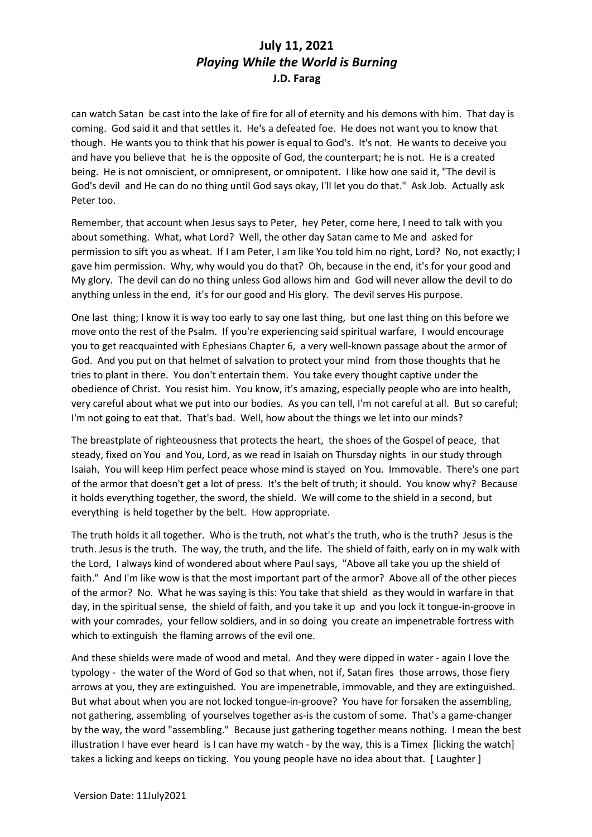can watch Satan be cast into the lake of fire for all of eternity and his demons with him. That day is coming. God said it and that settles it. He's a defeated foe. He does not want you to know that though. He wants you to think that his power is equal to God's. It's not. He wants to deceive you and have you believe that he is the opposite of God, the counterpart; he is not. He is a created being. He is not omniscient, or omnipresent, or omnipotent. I like how one said it, "The devil is God's devil and He can do no thing until God says okay, I'll let you do that." Ask Job. Actually ask Peter too.

Remember, that account when Jesus says to Peter, hey Peter, come here, I need to talk with you about something. What, what Lord? Well, the other day Satan came to Me and asked for permission to sift you as wheat. If I am Peter, I am like You told him no right, Lord? No, not exactly; I gave him permission. Why, why would you do that? Oh, because in the end, it's for your good and My glory. The devil can do no thing unless God allows him and God will never allow the devil to do anything unless in the end, it's for our good and His glory. The devil serves His purpose.

One last thing; I know it is way too early to say one last thing, but one last thing on this before we move onto the rest of the Psalm. If you're experiencing said spiritual warfare, I would encourage you to get reacquainted with Ephesians Chapter 6, a very well-known passage about the armor of God. And you put on that helmet of salvation to protect your mind from those thoughts that he tries to plant in there. You don't entertain them. You take every thought captive under the obedience of Christ. You resist him. You know, it's amazing, especially people who are into health, very careful about what we put into our bodies. As you can tell, I'm not careful at all. But so careful; I'm not going to eat that. That's bad. Well, how about the things we let into our minds?

The breastplate of righteousness that protects the heart, the shoes of the Gospel of peace, that steady, fixed on You and You, Lord, as we read in Isaiah on Thursday nights in our study through Isaiah, You will keep Him perfect peace whose mind is stayed on You. Immovable. There's one part of the armor that doesn't get a lot of press. It's the belt of truth; it should. You know why? Because it holds everything together, the sword, the shield. We will come to the shield in a second, but everything is held together by the belt. How appropriate.

The truth holds it all together. Who is the truth, not what's the truth, who is the truth? Jesus is the truth. Jesus is the truth. The way, the truth, and the life. The shield of faith, early on in my walk with the Lord, I always kind of wondered about where Paul says, "Above all take you up the shield of faith." And I'm like wow is that the most important part of the armor? Above all of the other pieces of the armor? No. What he was saying is this: You take that shield as they would in warfare in that day, in the spiritual sense, the shield of faith, and you take it up and you lock it tongue-in-groove in with your comrades, your fellow soldiers, and in so doing you create an impenetrable fortress with which to extinguish the flaming arrows of the evil one.

And these shields were made of wood and metal. And they were dipped in water - again I love the typology - the water of the Word of God so that when, not if, Satan fires those arrows, those fiery arrows at you, they are extinguished. You are impenetrable, immovable, and they are extinguished. But what about when you are not locked tongue-in-groove? You have for forsaken the assembling, not gathering, assembling of yourselves together as-is the custom of some. That's a game-changer by the way, the word "assembling." Because just gathering together means nothing. I mean the best illustration I have ever heard is I can have my watch - by the way, this is a Timex [licking the watch] takes a licking and keeps on ticking. You young people have no idea about that. [Laughter]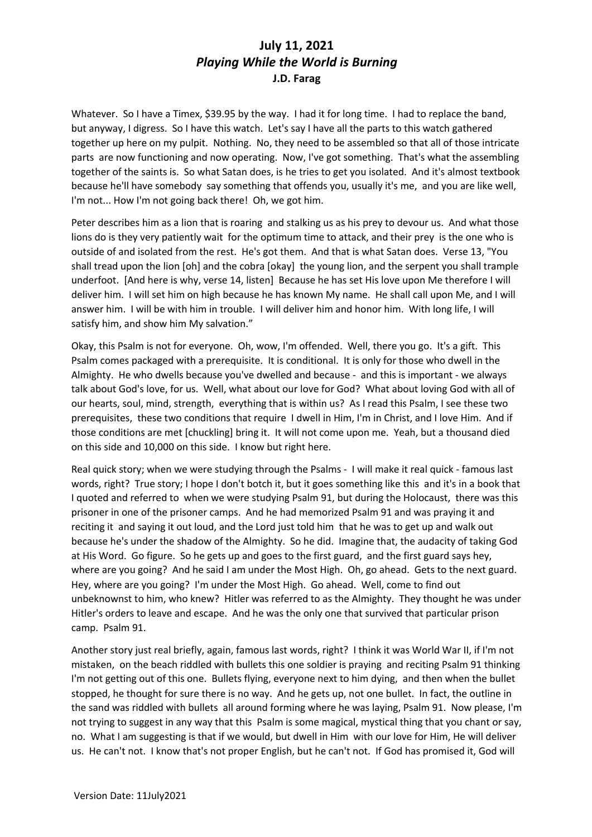Whatever. So I have a Timex, \$39.95 by the way. I had it for long time. I had to replace the band, but anyway, I digress. So I have this watch. Let's say I have all the parts to this watch gathered together up here on my pulpit. Nothing. No, they need to be assembled so that all of those intricate parts are now functioning and now operating. Now, I've got something. That's what the assembling together of the saints is. So what Satan does, is he tries to get you isolated. And it's almost textbook because he'll have somebody say something that offends you, usually it's me, and you are like well, I'm not... How I'm not going back there! Oh, we got him.

Peter describes him as a lion that is roaring and stalking us as his prey to devour us. And what those lions do is they very patiently wait for the optimum time to attack, and their prey is the one who is outside of and isolated from the rest. He's got them. And that is what Satan does. Verse 13, "You shall tread upon the lion [oh] and the cobra [okay] the young lion, and the serpent you shall trample underfoot. [And here is why, verse 14, listen] Because he has set His love upon Me therefore I will deliver him. I will set him on high because he has known My name. He shall call upon Me, and I will answer him. I will be with him in trouble. I will deliver him and honor him. With long life, I will satisfy him, and show him My salvation."

Okay, this Psalm is not for everyone. Oh, wow, I'm offended. Well, there you go. It's a gift. This Psalm comes packaged with a prerequisite. It is conditional. It is only for those who dwell in the Almighty. He who dwells because you've dwelled and because - and this is important - we always talk about God's love, for us. Well, what about our love for God? What about loving God with all of our hearts, soul, mind, strength, everything that is within us? As I read this Psalm, I see these two prerequisites, these two conditions that require I dwell in Him, I'm in Christ, and I love Him. And if those conditions are met [chuckling] bring it. It will not come upon me. Yeah, but a thousand died on this side and 10,000 on this side. I know but right here.

Real quick story; when we were studying through the Psalms - I will make it real quick - famous last words, right? True story; I hope I don't botch it, but it goes something like this and it's in a book that I quoted and referred to when we were studying Psalm 91, but during the Holocaust, there was this prisoner in one of the prisoner camps. And he had memorized Psalm 91 and was praying it and reciting it and saying it out loud, and the Lord just told him that he was to get up and walk out because he's under the shadow of the Almighty. So he did. Imagine that, the audacity of taking God at His Word. Go figure. So he gets up and goes to the first guard, and the first guard says hey, where are you going? And he said I am under the Most High. Oh, go ahead. Gets to the next guard. Hey, where are you going? I'm under the Most High. Go ahead. Well, come to find out unbeknownst to him, who knew? Hitler was referred to as the Almighty. They thought he was under Hitler's orders to leave and escape. And he was the only one that survived that particular prison camp. Psalm 91.

Another story just real briefly, again, famous last words, right? I think it was World War II, if I'm not mistaken, on the beach riddled with bullets this one soldier is praying and reciting Psalm 91 thinking I'm not getting out of this one. Bullets flying, everyone next to him dying, and then when the bullet stopped, he thought for sure there is no way. And he gets up, not one bullet. In fact, the outline in the sand was riddled with bullets all around forming where he was laying, Psalm 91. Now please, I'm not trying to suggest in any way that this Psalm is some magical, mystical thing that you chant or say, no. What I am suggesting is that if we would, but dwell in Him with our love for Him, He will deliver us. He can't not. I know that's not proper English, but he can't not. If God has promised it, God will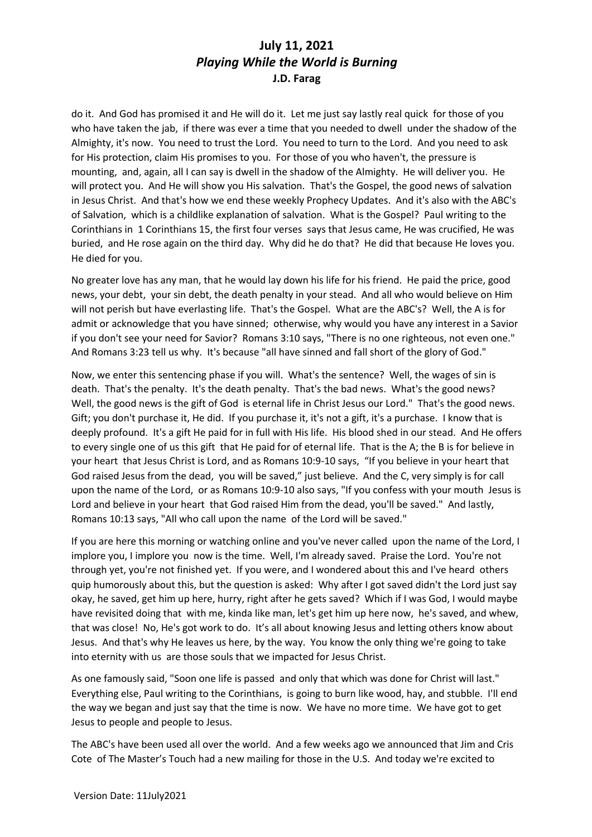do it. And God has promised it and He will do it. Let me just say lastly real quick for those of you who have taken the jab, if there was ever a time that you needed to dwell under the shadow of the Almighty, it's now. You need to trust the Lord. You need to turn to the Lord. And you need to ask for His protection, claim His promises to you. For those of you who haven't, the pressure is mounting, and, again, all I can say is dwell in the shadow of the Almighty. He will deliver you. He will protect you. And He will show you His salvation. That's the Gospel, the good news of salvation in Jesus Christ. And that's how we end these weekly Prophecy Updates. And it's also with the ABC's of Salvation, which is a childlike explanation of salvation. What is the Gospel? Paul writing to the Corinthians in 1 Corinthians 15, the first four verses says that Jesus came, He was crucified, He was buried, and He rose again on the third day. Why did he do that? He did that because He loves you. He died for you.

No greater love has any man, that he would lay down his life for his friend. He paid the price, good news, your debt, your sin debt, the death penalty in your stead. And all who would believe on Him will not perish but have everlasting life. That's the Gospel. What are the ABC's? Well, the A is for admit or acknowledge that you have sinned; otherwise, why would you have any interest in a Savior if you don't see your need for Savior? Romans 3:10 says, "There is no one righteous, not even one." And Romans 3:23 tell us why. It's because "all have sinned and fall short of the glory of God."

Now, we enter this sentencing phase if you will. What's the sentence? Well, the wages of sin is death. That's the penalty. It's the death penalty. That's the bad news. What's the good news? Well, the good news is the gift of God is eternal life in Christ Jesus our Lord." That's the good news. Gift; you don't purchase it, He did. If you purchase it, it's not a gift, it's a purchase. I know that is deeply profound. It's a gift He paid for in full with His life. His blood shed in our stead. And He offers to every single one of us this gift that He paid for of eternal life. That is the A; the B is for believe in your heart that Jesus Christ is Lord, and as Romans 10:9-10 says, "If you believe in your heart that God raised Jesus from the dead, you will be saved," just believe. And the C, very simply is for call upon the name of the Lord, or as Romans 10:9-10 also says, "If you confess with your mouth Jesus is Lord and believe in your heart that God raised Him from the dead, you'll be saved." And lastly, Romans 10:13 says, "All who call upon the name of the Lord will be saved."

If you are here this morning or watching online and you've never called upon the name of the Lord, I implore you, I implore you now is the time. Well, I'm already saved. Praise the Lord. You're not through yet, you're not finished yet. If you were, and I wondered about this and I've heard others quip humorously about this, but the question is asked: Why after I got saved didn't the Lord just say okay, he saved, get him up here, hurry, right after he gets saved? Which if I was God, I would maybe have revisited doing that with me, kinda like man, let's get him up here now, he's saved, and whew, that was close! No, He's got work to do. It's all about knowing Jesus and letting others know about Jesus. And that's why He leaves us here, by the way. You know the only thing we're going to take into eternity with us are those souls that we impacted for Jesus Christ.

As one famously said, "Soon one life is passed and only that which was done for Christ will last." Everything else, Paul writing to the Corinthians, is going to burn like wood, hay, and stubble. I'll end the way we began and just say that the time is now. We have no more time. We have got to get Jesus to people and people to Jesus.

The ABC's have been used all over the world. And a few weeks ago we announced that Jim and Cris Cote of The Master's Touch had a new mailing for those in the U.S. And today we're excited to